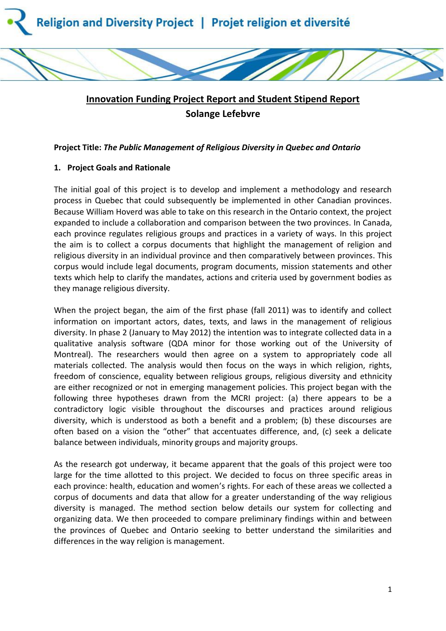

# **Innovation Funding Project Report and Student Stipend Report Solange Lefebvre**

## **Project Title:** *The Public Management of Religious Diversity in Quebec and Ontario*

## **1. Project Goals and Rationale**

The initial goal of this project is to develop and implement a methodology and research process in Quebec that could subsequently be implemented in other Canadian provinces. Because William Hoverd was able to take on this research in the Ontario context, the project expanded to include a collaboration and comparison between the two provinces. In Canada, each province regulates religious groups and practices in a variety of ways. In this project the aim is to collect a corpus documents that highlight the management of religion and religious diversity in an individual province and then comparatively between provinces. This corpus would include legal documents, program documents, mission statements and other texts which help to clarify the mandates, actions and criteria used by government bodies as they manage religious diversity.

When the project began, the aim of the first phase (fall 2011) was to identify and collect information on important actors, dates, texts, and laws in the management of religious diversity. In phase 2 (January to May 2012) the intention was to integrate collected data in a qualitative analysis software (QDA minor for those working out of the University of Montreal). The researchers would then agree on a system to appropriately code all materials collected. The analysis would then focus on the ways in which religion, rights, freedom of conscience, equality between religious groups, religious diversity and ethnicity are either recognized or not in emerging management policies. This project began with the following three hypotheses drawn from the MCRI project: (a) there appears to be a contradictory logic visible throughout the discourses and practices around religious diversity, which is understood as both a benefit and a problem; (b) these discourses are often based on a vision the "other" that accentuates difference, and, (c) seek a delicate balance between individuals, minority groups and majority groups.

As the research got underway, it became apparent that the goals of this project were too large for the time allotted to this project. We decided to focus on three specific areas in each province: health, education and women's rights. For each of these areas we collected a corpus of documents and data that allow for a greater understanding of the way religious diversity is managed. The method section below details our system for collecting and organizing data. We then proceeded to compare preliminary findings within and between the provinces of Quebec and Ontario seeking to better understand the similarities and differences in the way religion is management.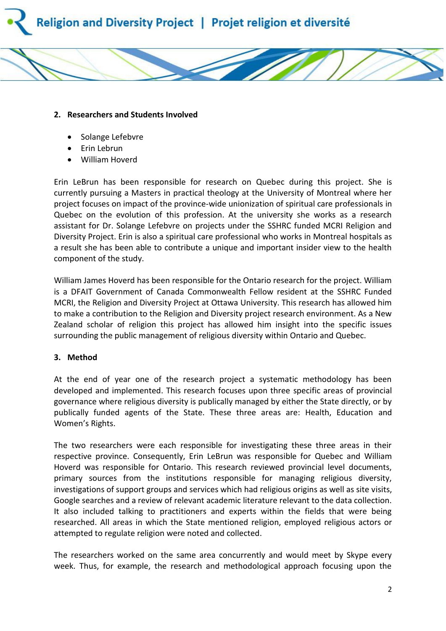



#### **2. Researchers and Students Involved**

- Solange Lefebvre
- Erin Lebrun
- William Hoverd

Erin LeBrun has been responsible for research on Quebec during this project. She is currently pursuing a Masters in practical theology at the University of Montreal where her project focuses on impact of the province-wide unionization of spiritual care professionals in Quebec on the evolution of this profession. At the university she works as a research assistant for Dr. Solange Lefebvre on projects under the SSHRC funded MCRI Religion and Diversity Project. Erin is also a spiritual care professional who works in Montreal hospitals as a result she has been able to contribute a unique and important insider view to the health component of the study.

William James Hoverd has been responsible for the Ontario research for the project. William is a DFAIT Government of Canada Commonwealth Fellow resident at the SSHRC Funded MCRI, the Religion and Diversity Project at Ottawa University. This research has allowed him to make a contribution to the Religion and Diversity project research environment. As a New Zealand scholar of religion this project has allowed him insight into the specific issues surrounding the public management of religious diversity within Ontario and Quebec.

#### **3. Method**

At the end of year one of the research project a systematic methodology has been developed and implemented. This research focuses upon three specific areas of provincial governance where religious diversity is publically managed by either the State directly, or by publically funded agents of the State. These three areas are: Health, Education and Women's Rights.

The two researchers were each responsible for investigating these three areas in their respective province. Consequently, Erin LeBrun was responsible for Quebec and William Hoverd was responsible for Ontario. This research reviewed provincial level documents, primary sources from the institutions responsible for managing religious diversity, investigations of support groups and services which had religious origins as well as site visits, Google searches and a review of relevant academic literature relevant to the data collection. It also included talking to practitioners and experts within the fields that were being researched. All areas in which the State mentioned religion, employed religious actors or attempted to regulate religion were noted and collected.

The researchers worked on the same area concurrently and would meet by Skype every week. Thus, for example, the research and methodological approach focusing upon the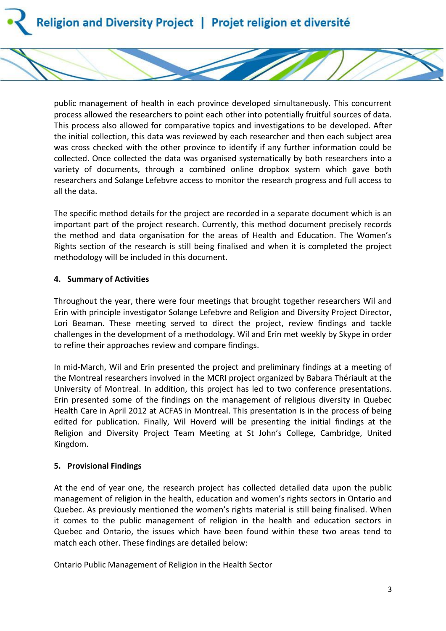public management of health in each province developed simultaneously. This concurrent process allowed the researchers to point each other into potentially fruitful sources of data. This process also allowed for comparative topics and investigations to be developed. After the initial collection, this data was reviewed by each researcher and then each subject area was cross checked with the other province to identify if any further information could be collected. Once collected the data was organised systematically by both researchers into a variety of documents, through a combined online dropbox system which gave both researchers and Solange Lefebvre access to monitor the research progress and full access to all the data.

The specific method details for the project are recorded in a separate document which is an important part of the project research. Currently, this method document precisely records the method and data organisation for the areas of Health and Education. The Women's Rights section of the research is still being finalised and when it is completed the project methodology will be included in this document.

#### **4. Summary of Activities**

Throughout the year, there were four meetings that brought together researchers Wil and Erin with principle investigator Solange Lefebvre and Religion and Diversity Project Director, Lori Beaman. These meeting served to direct the project, review findings and tackle challenges in the development of a methodology. Wil and Erin met weekly by Skype in order to refine their approaches review and compare findings.

In mid-March, Wil and Erin presented the project and preliminary findings at a meeting of the Montreal researchers involved in the MCRI project organized by Babara Thériault at the University of Montreal. In addition, this project has led to two conference presentations. Erin presented some of the findings on the management of religious diversity in Quebec Health Care in April 2012 at ACFAS in Montreal. This presentation is in the process of being edited for publication. Finally, Wil Hoverd will be presenting the initial findings at the Religion and Diversity Project Team Meeting at St John's College, Cambridge, United Kingdom.

# **5. Provisional Findings**

At the end of year one, the research project has collected detailed data upon the public management of religion in the health, education and women's rights sectors in Ontario and Quebec. As previously mentioned the women's rights material is still being finalised. When it comes to the public management of religion in the health and education sectors in Quebec and Ontario, the issues which have been found within these two areas tend to match each other. These findings are detailed below:

Ontario Public Management of Religion in the Health Sector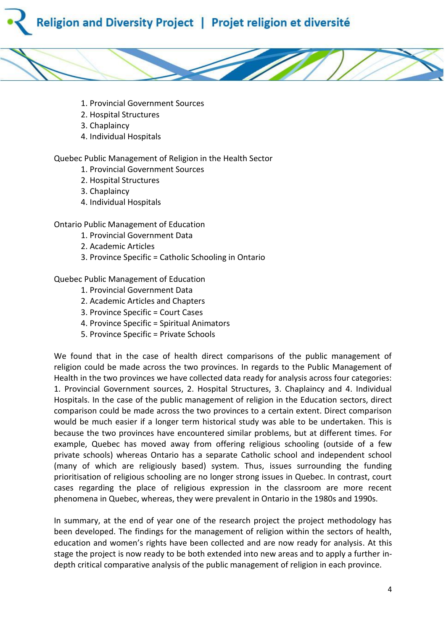



- 1. Provincial Government Sources
- 2. Hospital Structures
- 3. Chaplaincy
- 4. Individual Hospitals

Quebec Public Management of Religion in the Health Sector

- 1. Provincial Government Sources
- 2. Hospital Structures
- 3. Chaplaincy
- 4. Individual Hospitals

Ontario Public Management of Education

- 1. Provincial Government Data
- 2. Academic Articles
- 3. Province Specific = Catholic Schooling in Ontario

Quebec Public Management of Education

- 1. Provincial Government Data
- 2. Academic Articles and Chapters
- 3. Province Specific = Court Cases
- 4. Province Specific = Spiritual Animators
- 5. Province Specific = Private Schools

We found that in the case of health direct comparisons of the public management of religion could be made across the two provinces. In regards to the Public Management of Health in the two provinces we have collected data ready for analysis across four categories: 1. Provincial Government sources, 2. Hospital Structures, 3. Chaplaincy and 4. Individual Hospitals. In the case of the public management of religion in the Education sectors, direct comparison could be made across the two provinces to a certain extent. Direct comparison would be much easier if a longer term historical study was able to be undertaken. This is because the two provinces have encountered similar problems, but at different times. For example, Quebec has moved away from offering religious schooling (outside of a few private schools) whereas Ontario has a separate Catholic school and independent school (many of which are religiously based) system. Thus, issues surrounding the funding prioritisation of religious schooling are no longer strong issues in Quebec. In contrast, court cases regarding the place of religious expression in the classroom are more recent phenomena in Quebec, whereas, they were prevalent in Ontario in the 1980s and 1990s.

In summary, at the end of year one of the research project the project methodology has been developed. The findings for the management of religion within the sectors of health, education and women's rights have been collected and are now ready for analysis. At this stage the project is now ready to be both extended into new areas and to apply a further indepth critical comparative analysis of the public management of religion in each province.